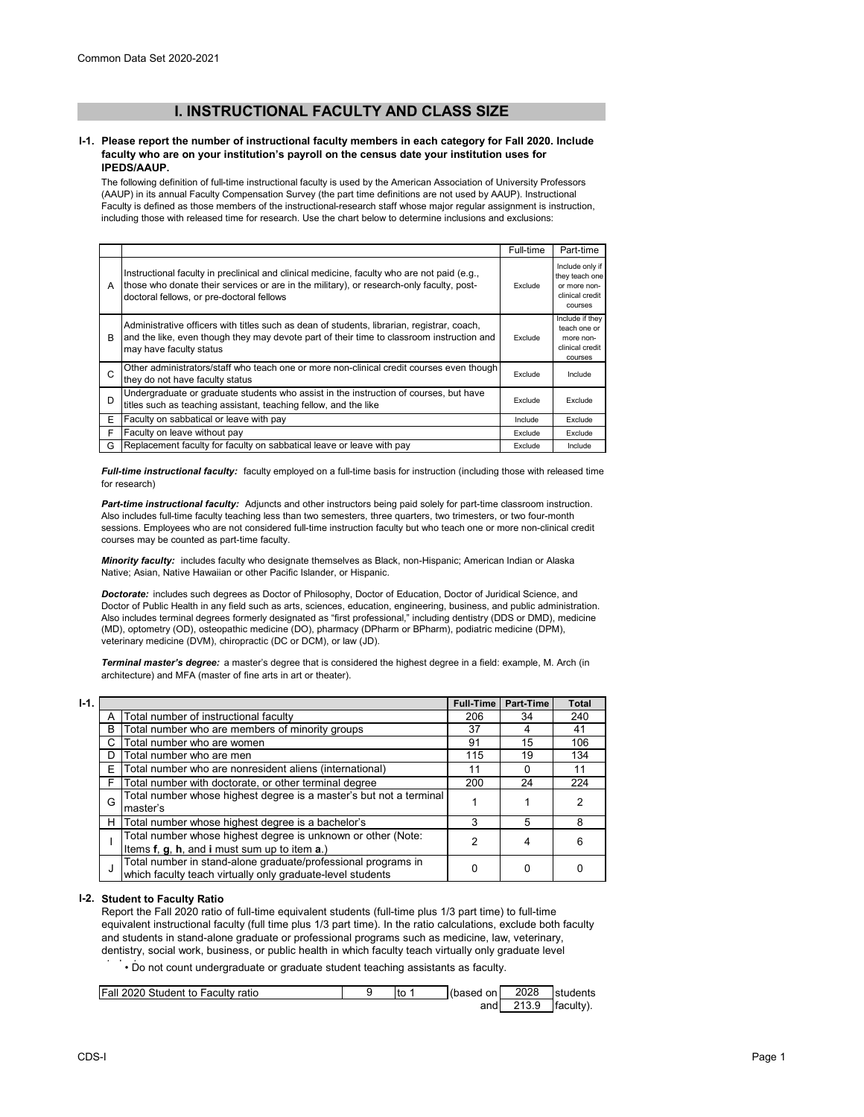# **I. INSTRUCTIONAL FACULTY AND CLASS SIZE**

### **I-1. Please report the number of instructional faculty members in each category for Fall 2020. Include faculty who are on your institution's payroll on the census date your institution uses for IPEDS/AAUP.**

The following definition of full-time instructional faculty is used by the American Association of University Professors (AAUP) in its annual Faculty Compensation Survey (the part time definitions are not used by AAUP). Instructional Faculty is defined as those members of the instructional-research staff whose major regular assignment is instruction, including those with released time for research. Use the chart below to determine inclusions and exclusions:

|   |                                                                                                                                                                                                                                      | Full-time | Part-time                                                                       |
|---|--------------------------------------------------------------------------------------------------------------------------------------------------------------------------------------------------------------------------------------|-----------|---------------------------------------------------------------------------------|
| A | Instructional faculty in preclinical and clinical medicine, faculty who are not paid (e.g.,<br>those who donate their services or are in the military), or research-only faculty, post-<br>doctoral fellows, or pre-doctoral fellows | Exclude   | Include only if<br>they teach one<br>or more non-<br>clinical credit<br>courses |
| B | Administrative officers with titles such as dean of students, librarian, registrar, coach,<br>and the like, even though they may devote part of their time to classroom instruction and<br>may have faculty status                   |           | Include if they<br>teach one or<br>more non-<br>clinical credit<br>courses      |
| C | Other administrators/staff who teach one or more non-clinical credit courses even though<br>they do not have faculty status                                                                                                          | Exclude   | Include                                                                         |
| D | Undergraduate or graduate students who assist in the instruction of courses, but have<br>titles such as teaching assistant, teaching fellow, and the like                                                                            |           | Exclude                                                                         |
| E | Faculty on sabbatical or leave with pay                                                                                                                                                                                              |           | Exclude                                                                         |
| F | Faculty on leave without pay                                                                                                                                                                                                         | Exclude   | Exclude                                                                         |
| G | Replacement faculty for faculty on sabbatical leave or leave with pay                                                                                                                                                                | Exclude   | Include                                                                         |

*Full-time instructional faculty:* faculty employed on a full-time basis for instruction (including those with released time for research)

*Part-time instructional faculty:* Adjuncts and other instructors being paid solely for part-time classroom instruction. Also includes full-time faculty teaching less than two semesters, three quarters, two trimesters, or two four-month sessions. Employees who are not considered full-time instruction faculty but who teach one or more non-clinical credit courses may be counted as part-time faculty.

*Minority faculty:* includes faculty who designate themselves as Black, non-Hispanic; American Indian or Alaska Native; Asian, Native Hawaiian or other Pacific Islander, or Hispanic.

*Doctorate:* includes such degrees as Doctor of Philosophy, Doctor of Education, Doctor of Juridical Science, and Doctor of Public Health in any field such as arts, sciences, education, engineering, business, and public administration. Also includes terminal degrees formerly designated as "first professional," including dentistry (DDS or DMD), medicine (MD), optometry (OD), osteopathic medicine (DO), pharmacy (DPharm or BPharm), podiatric medicine (DPM), veterinary medicine (DVM), chiropractic (DC or DCM), or law (JD).

*Terminal master's degree:* a master's degree that is considered the highest degree in a field: example, M. Arch (in architecture) and MFA (master of fine arts in art or theater).

| $1-1.$ |   |                                                                                                                             | <b>Full-Time</b> | Part-Time | <b>Total</b> |
|--------|---|-----------------------------------------------------------------------------------------------------------------------------|------------------|-----------|--------------|
|        | А | Total number of instructional faculty                                                                                       | 206              | 34        | 240          |
|        | B | Total number who are members of minority groups                                                                             | 37               |           | 41           |
|        | С | Total number who are women                                                                                                  | 91               | 15        | 106          |
|        | D | Total number who are men                                                                                                    | 115              | 19        | 134          |
|        | E | Total number who are nonresident aliens (international)                                                                     | 11               |           | 11           |
|        | F | Total number with doctorate, or other terminal degree                                                                       | 200              | 24        | 224          |
|        | G | Total number whose highest degree is a master's but not a terminal<br>master's                                              |                  |           | 2            |
|        | н | Total number whose highest degree is a bachelor's                                                                           | 3                | 5         | 8            |
|        |   | Total number whose highest degree is unknown or other (Note:<br>Items f, g, h, and i must sum up to item a.)                | 2                |           | 6            |
|        | J | Total number in stand-alone graduate/professional programs in<br>which faculty teach virtually only graduate-level students |                  | 0         |              |

## **I-2. Student to Faculty Ratio**

Report the Fall 2020 ratio of full-time equivalent students (full-time plus 1/3 part time) to full-time equivalent instructional faculty (full time plus 1/3 part time). In the ratio calculations, exclude both faculty and students in stand-alone graduate or professional programs such as medicine, law, veterinary, dentistry, social work, business, or public health in which faculty teach virtually only graduate level

 $\dot{\phantom{\phi}}$   $\cdot$  Do not count undergraduate or graduate student teaching assistants as faculty.

| Fall 2020 Student to Faculty ratio | l to | (based on | 2028  | students  |
|------------------------------------|------|-----------|-------|-----------|
|                                    |      | andl      | 213.9 | faculty). |